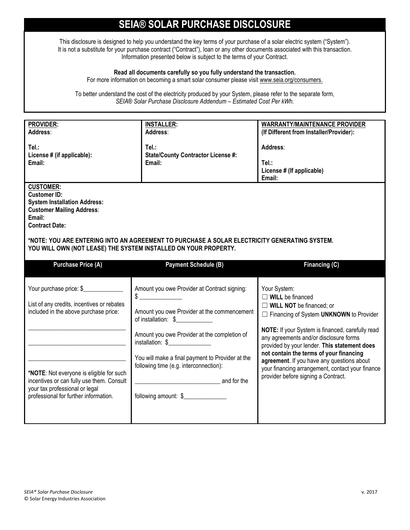## **SEIA® SOLAR PURCHASE DISCLOSURE**

This disclosure is designed to help you understand the key terms of your purchase of a solar electric system ("System"). It is not a substitute for your purchase contract ("Contract"), loan or any other documents associated with this transaction. Information presented below is subject to the terms of your Contract.

## **Read all documents carefully so you fully understand the transaction.**

For more information on becoming a smart solar consumer please visit [www.seia.org/consumers.](http://www.seia.org/consumers)

To better understand the cost of the electricity produced by your System, please refer to the separate form, *SEIA® Solar Purchase Disclosure Addendum – Estimated Cost Per kWh.*

| <b>PROVIDER:</b><br>Address:<br>Tel:<br>License # (if applicable):<br>Email:                                                                                                                                                                                                                                                       | <b>INSTALLER:</b><br>Address:<br>Tel.:<br><b>State/County Contractor License #:</b><br>Email:                                                                                                                                                                                                                                                                                                                                                                                                                                                                                                                                                                                                      | <b>WARRANTY/MAINTENANCE PROVIDER</b><br>(If Different from Installer/Provider):<br>Address:<br>Tel.:<br>License # (If applicable)                                                                                                                                                                                                                                                                                                                              |  |  |  |
|------------------------------------------------------------------------------------------------------------------------------------------------------------------------------------------------------------------------------------------------------------------------------------------------------------------------------------|----------------------------------------------------------------------------------------------------------------------------------------------------------------------------------------------------------------------------------------------------------------------------------------------------------------------------------------------------------------------------------------------------------------------------------------------------------------------------------------------------------------------------------------------------------------------------------------------------------------------------------------------------------------------------------------------------|----------------------------------------------------------------------------------------------------------------------------------------------------------------------------------------------------------------------------------------------------------------------------------------------------------------------------------------------------------------------------------------------------------------------------------------------------------------|--|--|--|
| Email:<br><b>CUSTOMER:</b><br><b>Customer ID:</b><br><b>System Installation Address:</b><br><b>Customer Mailing Address:</b><br>Email:<br><b>Contract Date:</b><br>*NOTE: YOU ARE ENTERING INTO AN AGREEMENT TO PURCHASE A SOLAR ELECTRICITY GENERATING SYSTEM.<br>YOU WILL OWN (NOT LEASE) THE SYSTEM INSTALLED ON YOUR PROPERTY. |                                                                                                                                                                                                                                                                                                                                                                                                                                                                                                                                                                                                                                                                                                    |                                                                                                                                                                                                                                                                                                                                                                                                                                                                |  |  |  |
| <b>Purchase Price (A)</b>                                                                                                                                                                                                                                                                                                          | <b>Payment Schedule (B)</b>                                                                                                                                                                                                                                                                                                                                                                                                                                                                                                                                                                                                                                                                        | Financing (C)                                                                                                                                                                                                                                                                                                                                                                                                                                                  |  |  |  |
| Your purchase price: \$<br>List of any credits, incentives or rebates<br>included in the above purchase price:<br>*NOTE: Not everyone is eligible for such<br>incentives or can fully use them. Consult<br>your tax professional or legal<br>professional for further information.                                                 | Amount you owe Provider at Contract signing:<br>$\begin{picture}(20,10) \put(0,0){\vector(1,0){100}} \put(15,0){\vector(1,0){100}} \put(15,0){\vector(1,0){100}} \put(15,0){\vector(1,0){100}} \put(15,0){\vector(1,0){100}} \put(15,0){\vector(1,0){100}} \put(15,0){\vector(1,0){100}} \put(15,0){\vector(1,0){100}} \put(15,0){\vector(1,0){100}} \put(15,0){\vector(1,0){100}} \put(15,0){\vector(1,0){100}} \$<br>Amount you owe Provider at the commencement<br>of installation: \$<br>Amount you owe Provider at the completion of<br>installation: \$<br>You will make a final payment to Provider at the<br>following time (e.g. interconnection):<br>and for the<br>following amount: \$ | Your System:<br>$\Box$ WILL be financed<br>$\Box$ WILL NOT be financed; or<br>$\Box$ Financing of System UNKNOWN to Provider<br>NOTE: If your System is financed, carefully read<br>any agreements and/or disclosure forms<br>provided by your lender. This statement does<br>not contain the terms of your financing<br>agreement. If you have any questions about<br>your financing arrangement, contact your finance<br>provider before signing a Contract. |  |  |  |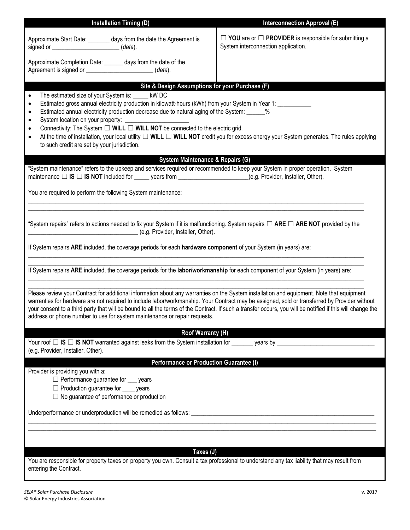| <b>Installation Timing (D)</b>                                                                                                                                                                                                                                                                                                                                                                                                                                                                                                                                                                                                                                                      | Interconnection Approval (E)                                                                             |  |  |  |
|-------------------------------------------------------------------------------------------------------------------------------------------------------------------------------------------------------------------------------------------------------------------------------------------------------------------------------------------------------------------------------------------------------------------------------------------------------------------------------------------------------------------------------------------------------------------------------------------------------------------------------------------------------------------------------------|----------------------------------------------------------------------------------------------------------|--|--|--|
| Approximate Start Date: _______ days from the date the Agreement is<br>signed or $\sqrt{\phantom{a}}$                                                                                                                                                                                                                                                                                                                                                                                                                                                                                                                                                                               | $\Box$ YOU are or $\Box$ PROVIDER is responsible for submitting a<br>System interconnection application. |  |  |  |
| Approximate Completion Date: ______ days from the date of the<br>Agreement is signed or ________________________(date).                                                                                                                                                                                                                                                                                                                                                                                                                                                                                                                                                             |                                                                                                          |  |  |  |
| Site & Design Assumptions for your Purchase (F)                                                                                                                                                                                                                                                                                                                                                                                                                                                                                                                                                                                                                                     |                                                                                                          |  |  |  |
| The estimated size of your System is: _____ kW DC<br>$\bullet$<br>Estimated gross annual electricity production in kilowatt-hours (kWh) from your System in Year 1: ________<br>$\bullet$<br>Estimated annual electricity production decrease due to natural aging of the System: ______%<br>$\bullet$<br>System location on your property:<br>$\bullet$<br>Connectivity: The System $\Box$ WILL $\Box$ WILL NOT be connected to the electric grid.<br>$\bullet$<br>At the time of installation, your local utility $\Box$ WILL $\Box$ WILL NOT credit you for excess energy your System generates. The rules applying<br>$\bullet$<br>to such credit are set by your jurisdiction. |                                                                                                          |  |  |  |
| System Maintenance & Repairs (G)                                                                                                                                                                                                                                                                                                                                                                                                                                                                                                                                                                                                                                                    |                                                                                                          |  |  |  |
| "System maintenance" refers to the upkeep and services required or recommended to keep your System in proper operation. System<br>maintenance $\square$ IS $\square$ IS NOT included for example years from example the set of e.g. Provider, Installer, Other).<br>You are required to perform the following System maintenance:<br>"System repairs" refers to actions needed to fix your System if it is malfunctioning. System repairs $\Box$ ARE $\Box$ ARE NOT provided by the<br>(e.g. Provider, Installer, Other).<br>If System repairs ARE included, the coverage periods for each hardware component of your System (in years) are:                                        |                                                                                                          |  |  |  |
|                                                                                                                                                                                                                                                                                                                                                                                                                                                                                                                                                                                                                                                                                     |                                                                                                          |  |  |  |
| If System repairs ARE included, the coverage periods for the labor/workmanship for each component of your System (in years) are:                                                                                                                                                                                                                                                                                                                                                                                                                                                                                                                                                    |                                                                                                          |  |  |  |
| Please review your Contract for additional information about any warranties on the System installation and equipment. Note that equipment<br>warranties for hardware are not required to include labor/workmanship. Your Contract may be assigned, sold or transferred by Provider without<br>your consent to a third party that will be bound to all the terms of the Contract. If such a transfer occurs, you will be notified if this will change the<br>address or phone number to use for system maintenance or repair requests.                                                                                                                                               |                                                                                                          |  |  |  |
| <b>Roof Warranty (H)</b>                                                                                                                                                                                                                                                                                                                                                                                                                                                                                                                                                                                                                                                            |                                                                                                          |  |  |  |
| Your roof $\Box$ IS $\Box$ IS NOT warranted against leaks from the System installation for ______ years by<br>(e.g. Provider, Installer, Other).                                                                                                                                                                                                                                                                                                                                                                                                                                                                                                                                    |                                                                                                          |  |  |  |
| <b>Performance or Production Guarantee (I)</b><br>Provider is providing you with a:                                                                                                                                                                                                                                                                                                                                                                                                                                                                                                                                                                                                 |                                                                                                          |  |  |  |
| $\Box$ Performance guarantee for $\_\_\$ years<br>$\Box$ Production guarantee for $\_\_\_$ years<br>$\Box$ No guarantee of performance or production                                                                                                                                                                                                                                                                                                                                                                                                                                                                                                                                |                                                                                                          |  |  |  |
|                                                                                                                                                                                                                                                                                                                                                                                                                                                                                                                                                                                                                                                                                     |                                                                                                          |  |  |  |
|                                                                                                                                                                                                                                                                                                                                                                                                                                                                                                                                                                                                                                                                                     |                                                                                                          |  |  |  |
| Taxes (J)                                                                                                                                                                                                                                                                                                                                                                                                                                                                                                                                                                                                                                                                           |                                                                                                          |  |  |  |
| You are responsible for property taxes on property you own. Consult a tax professional to understand any tax liability that may result from<br>entering the Contract.                                                                                                                                                                                                                                                                                                                                                                                                                                                                                                               |                                                                                                          |  |  |  |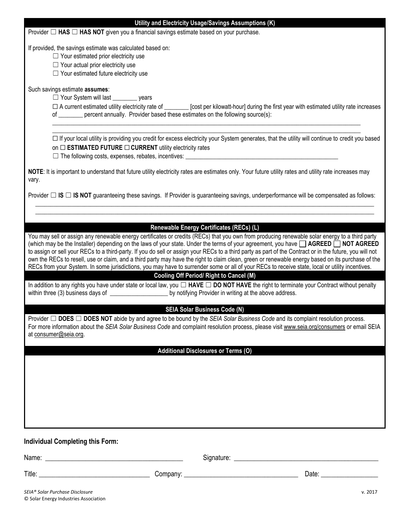|                                                                                                   | Utility and Electricity Usage/Savings Assumptions (K)                                                                                              |                                                                                                                                                                                                                                                                                                                                                                                                                                                                                                                                                                                                                |  |  |  |
|---------------------------------------------------------------------------------------------------|----------------------------------------------------------------------------------------------------------------------------------------------------|----------------------------------------------------------------------------------------------------------------------------------------------------------------------------------------------------------------------------------------------------------------------------------------------------------------------------------------------------------------------------------------------------------------------------------------------------------------------------------------------------------------------------------------------------------------------------------------------------------------|--|--|--|
| Provider $\Box$ HAS $\Box$ HAS NOT given you a financial savings estimate based on your purchase. |                                                                                                                                                    |                                                                                                                                                                                                                                                                                                                                                                                                                                                                                                                                                                                                                |  |  |  |
| If provided, the savings estimate was calculated based on:                                        |                                                                                                                                                    |                                                                                                                                                                                                                                                                                                                                                                                                                                                                                                                                                                                                                |  |  |  |
| $\Box$ Your estimated prior electricity use                                                       |                                                                                                                                                    |                                                                                                                                                                                                                                                                                                                                                                                                                                                                                                                                                                                                                |  |  |  |
| $\Box$ Your actual prior electricity use<br>$\Box$ Your estimated future electricity use          |                                                                                                                                                    |                                                                                                                                                                                                                                                                                                                                                                                                                                                                                                                                                                                                                |  |  |  |
|                                                                                                   |                                                                                                                                                    |                                                                                                                                                                                                                                                                                                                                                                                                                                                                                                                                                                                                                |  |  |  |
|                                                                                                   | Such savings estimate assumes:<br>□ Your System will last _________ years                                                                          |                                                                                                                                                                                                                                                                                                                                                                                                                                                                                                                                                                                                                |  |  |  |
|                                                                                                   | of _______ percent annually. Provider based these estimates on the following source(s):                                                            | $\Box$ A current estimated utility electricity rate of __________ [cost per kilowatt-hour] during the first year with estimated utility rate increases                                                                                                                                                                                                                                                                                                                                                                                                                                                         |  |  |  |
|                                                                                                   | on $\square$ ESTIMATED FUTURE $\square$ CURRENT utility electricity rates                                                                          | □ If your local utility is providing you credit for excess electricity your System generates, that the utility will continue to credit you based                                                                                                                                                                                                                                                                                                                                                                                                                                                               |  |  |  |
| vary.                                                                                             |                                                                                                                                                    | NOTE: It is important to understand that future utility electricity rates are estimates only. Your future utility rates and utility rate increases may                                                                                                                                                                                                                                                                                                                                                                                                                                                         |  |  |  |
|                                                                                                   | Provider $\Box$ IS $\Box$ IS NOT guaranteeing these savings. If Provider is guaranteeing savings, underperformance will be compensated as follows: |                                                                                                                                                                                                                                                                                                                                                                                                                                                                                                                                                                                                                |  |  |  |
|                                                                                                   |                                                                                                                                                    |                                                                                                                                                                                                                                                                                                                                                                                                                                                                                                                                                                                                                |  |  |  |
|                                                                                                   | Renewable Energy Certificates (RECs) (L)                                                                                                           |                                                                                                                                                                                                                                                                                                                                                                                                                                                                                                                                                                                                                |  |  |  |
|                                                                                                   | Cooling Off Period/ Right to Cancel (M)                                                                                                            | to assign or sell your RECs to a third-party. If you do sell or assign your RECs to a third party as part of the Contract or in the future, you will not<br>own the RECs to resell, use or claim, and a third party may have the right to claim clean, green or renewable energy based on its purchase of the<br>RECs from your System. In some jurisdictions, you may have to surrender some or all of your RECs to receive state, local or utility incentives.<br>In addition to any rights you have under state or local law, you □ HAVE □ DO NOT HAVE the right to terminate your Contract without penalty |  |  |  |
|                                                                                                   | <b>SEIA Solar Business Code (N)</b>                                                                                                                |                                                                                                                                                                                                                                                                                                                                                                                                                                                                                                                                                                                                                |  |  |  |
| at consumer@seia.org.                                                                             |                                                                                                                                                    | Provider $\Box$ DOES $\Box$ DOES NOT abide by and agree to be bound by the SEIA Solar Business Code and its complaint resolution process.<br>For more information about the SEIA Solar Business Code and complaint resolution process, please visit www.seia.org/consumers or email SEIA                                                                                                                                                                                                                                                                                                                       |  |  |  |
|                                                                                                   | <b>Additional Disclosures or Terms (O)</b>                                                                                                         |                                                                                                                                                                                                                                                                                                                                                                                                                                                                                                                                                                                                                |  |  |  |
|                                                                                                   |                                                                                                                                                    |                                                                                                                                                                                                                                                                                                                                                                                                                                                                                                                                                                                                                |  |  |  |
|                                                                                                   |                                                                                                                                                    |                                                                                                                                                                                                                                                                                                                                                                                                                                                                                                                                                                                                                |  |  |  |
|                                                                                                   |                                                                                                                                                    |                                                                                                                                                                                                                                                                                                                                                                                                                                                                                                                                                                                                                |  |  |  |
|                                                                                                   |                                                                                                                                                    |                                                                                                                                                                                                                                                                                                                                                                                                                                                                                                                                                                                                                |  |  |  |
|                                                                                                   |                                                                                                                                                    |                                                                                                                                                                                                                                                                                                                                                                                                                                                                                                                                                                                                                |  |  |  |
|                                                                                                   |                                                                                                                                                    |                                                                                                                                                                                                                                                                                                                                                                                                                                                                                                                                                                                                                |  |  |  |
| <b>Individual Completing this Form:</b>                                                           |                                                                                                                                                    |                                                                                                                                                                                                                                                                                                                                                                                                                                                                                                                                                                                                                |  |  |  |
|                                                                                                   |                                                                                                                                                    |                                                                                                                                                                                                                                                                                                                                                                                                                                                                                                                                                                                                                |  |  |  |
|                                                                                                   |                                                                                                                                                    |                                                                                                                                                                                                                                                                                                                                                                                                                                                                                                                                                                                                                |  |  |  |
| SEIA® Solar Purchase Disclosure                                                                   |                                                                                                                                                    | v. 2017                                                                                                                                                                                                                                                                                                                                                                                                                                                                                                                                                                                                        |  |  |  |

© Solar Energy Industries Association